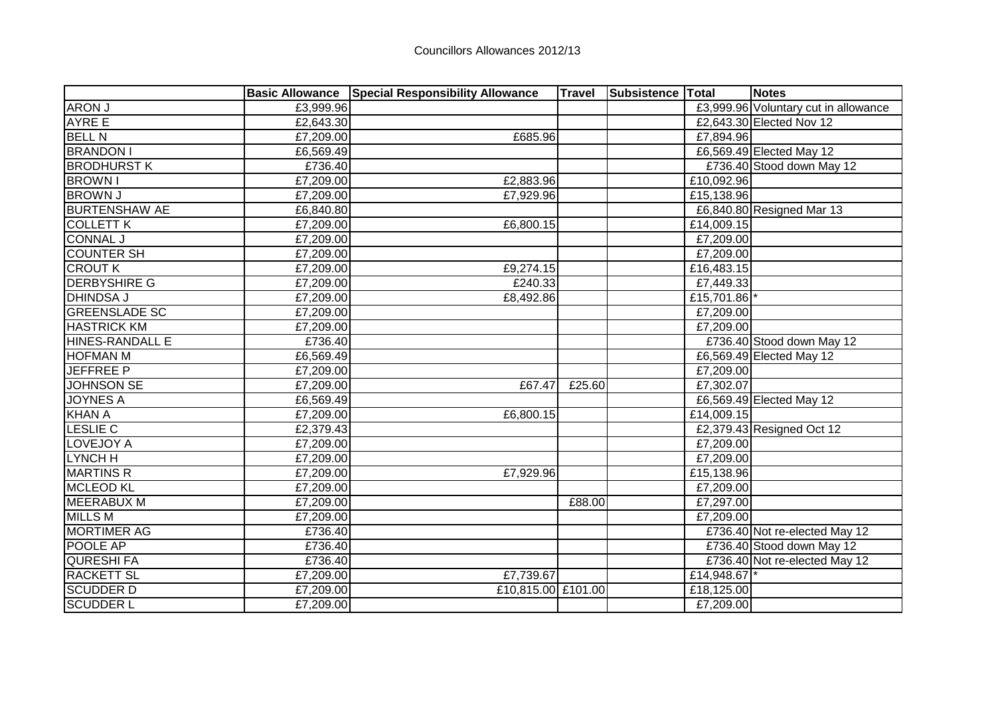|                      |           | <b>Basic Allowance Special Responsibility Allowance</b> | <b>Travel</b> | Subsistence Total |              | <b>Notes</b>                         |
|----------------------|-----------|---------------------------------------------------------|---------------|-------------------|--------------|--------------------------------------|
| <b>ARON J</b>        | £3,999.96 |                                                         |               |                   |              | £3,999.96 Voluntary cut in allowance |
| <b>AYRE E</b>        | £2,643.30 |                                                         |               |                   |              | £2,643.30 Elected Nov 12             |
| <b>BELL N</b>        | £7,209.00 | £685.96                                                 |               |                   | £7,894.96    |                                      |
| <b>BRANDON I</b>     | £6,569.49 |                                                         |               |                   |              | £6,569.49 Elected May 12             |
| <b>BRODHURST K</b>   | £736.40   |                                                         |               |                   |              | £736.40 Stood down May 12            |
| <b>BROWN I</b>       | £7,209.00 | £2,883.96                                               |               |                   | £10,092.96   |                                      |
| <b>BROWN J</b>       | £7,209.00 | £7,929.96                                               |               |                   | £15,138.96   |                                      |
| <b>BURTENSHAW AE</b> | £6,840.80 |                                                         |               |                   |              | £6,840.80 Resigned Mar 13            |
| <b>COLLETT K</b>     | £7,209.00 | E6,800.15                                               |               |                   | £14,009.15   |                                      |
| <b>CONNAL J</b>      | £7,209.00 |                                                         |               |                   | £7,209.00    |                                      |
| <b>COUNTER SH</b>    | £7,209.00 |                                                         |               |                   | £7,209.00    |                                      |
| <b>CROUT K</b>       | £7,209.00 | £9,274.15                                               |               |                   | £16,483.15   |                                      |
| <b>DERBYSHIRE G</b>  | £7,209.00 | £240.33                                                 |               |                   | £7,449.33    |                                      |
| <b>DHINDSA J</b>     | £7,209.00 | £8,492.86                                               |               |                   | £15,701.86   |                                      |
| <b>GREENSLADE SC</b> | £7,209.00 |                                                         |               |                   | £7,209.00    |                                      |
| <b>HASTRICK KM</b>   | £7,209.00 |                                                         |               |                   | £7,209.00    |                                      |
| HINES-RANDALL E      | £736.40   |                                                         |               |                   |              | £736.40 Stood down May 12            |
| <b>HOFMAN M</b>      | £6,569.49 |                                                         |               |                   |              | £6,569.49 Elected May 12             |
| <b>JEFFREE P</b>     | £7,209.00 |                                                         |               |                   | £7,209.00    |                                      |
| <b>JOHNSON SE</b>    | £7,209.00 | £67.47                                                  | £25.60        |                   | £7,302.07    |                                      |
| <b>JOYNES A</b>      | £6,569.49 |                                                         |               |                   |              | £6,569.49 Elected May 12             |
| <b>KHAN A</b>        | £7,209.00 | £6,800.15                                               |               |                   | £14,009.15   |                                      |
| <b>LESLIE C</b>      | £2,379.43 |                                                         |               |                   |              | £2,379.43 Resigned Oct 12            |
| LOVEJOY A            | £7,209.00 |                                                         |               |                   | £7,209.00    |                                      |
| LYNCH H              | £7,209.00 |                                                         |               |                   | £7,209.00    |                                      |
| <b>MARTINS R</b>     | £7,209.00 | £7,929.96                                               |               |                   | £15,138.96   |                                      |
| <b>MCLEOD KL</b>     | £7,209.00 |                                                         |               |                   | £7,209.00    |                                      |
| <b>MEERABUX M</b>    | £7,209.00 |                                                         | £88.00        |                   | £7,297.00    |                                      |
| <b>MILLS M</b>       | £7,209.00 |                                                         |               |                   | £7,209.00    |                                      |
| <b>MORTIMER AG</b>   | £736.40   |                                                         |               |                   |              | £736.40 Not re-elected May 12        |
| POOLE AP             | £736.40   |                                                         |               |                   |              | £736.40 Stood down May 12            |
| <b>QURESHIFA</b>     | £736.40   |                                                         |               |                   |              | £736.40 Not re-elected May 12        |
| <b>RACKETT SL</b>    | £7,209.00 | £7,739.67                                               |               |                   | £14,948.67 * |                                      |
| <b>SCUDDER D</b>     | £7,209.00 | £10,815.00 £101.00                                      |               |                   | £18,125.00   |                                      |
| <b>SCUDDER L</b>     | £7,209.00 |                                                         |               |                   | £7,209.00    |                                      |